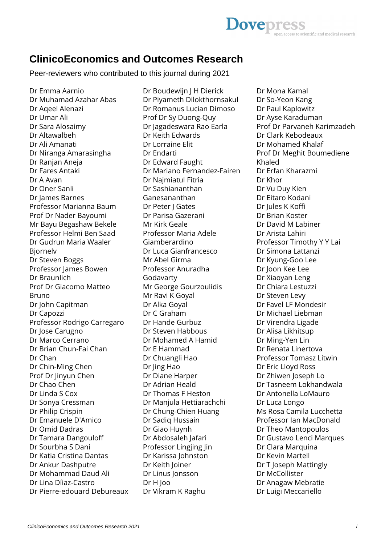## **ClinicoEconomics and Outcomes Research**

Peer-reviewers who contributed to this journal during 2021

Dr Emma Aarnio Dr Muhamad Azahar Abas Dr Aqeel Alenazi Dr Umar Ali Dr Sara Alosaimy Dr Altawalbeh Dr Ali Amanati Dr Niranga Amarasingha Dr Ranjan Aneja Dr Fares Antaki Dr A Avan Dr Oner Sanli Dr James Barnes Professor Marianna Baum Prof Dr Nader Bayoumi Mr Bayu Begashaw Bekele Professor Helmi Ben Saad Dr Gudrun Maria Waaler Bjornelv Dr Steven Boggs Professor James Bowen Dr Braunlich Prof Dr Giacomo Matteo Bruno Dr John Capitman Dr Capozzi Professor Rodrigo Carregaro Dr Jose Carugno Dr Marco Cerrano Dr Brian Chun-Fai Chan Dr Chan Dr Chin-Ming Chen Prof Dr Jinyun Chen Dr Chao Chen Dr Linda S Cox Dr Sonya Cressman Dr Philip Crispin Dr Emanuele D'Amico Dr Omid Dadras Dr Tamara Dangouloff Dr Sourbha S Dani Dr Katia Cristina Dantas Dr Ankur Dashputre Dr Mohammad Daud Ali Dr Lina Díiaz-Castro Dr Pierre-edouard Debureaux

Dr Boudewijn J H Dierick Dr Piyameth Dilokthornsakul Dr Romanus Lucian Dimoso Prof Dr Sy Duong-Quy Dr Jagadeswara Rao Earla Dr Keith Edwards Dr Lorraine Elit Dr Endarti Dr Edward Faught Dr Mariano Fernandez-Fairen Dr Najmiatul Fitria Dr Sashiananthan Ganesananthan Dr Peter J Gates Dr Parisa Gazerani Mr Kirk Geale Professor Maria Adele Giamberardino Dr Luca Gianfrancesco Mr Abel Girma Professor Anuradha Godavarty Mr George Gourzoulidis Mr Ravi K Goyal Dr Alka Goyal Dr C Graham Dr Hande Gurbuz Dr Steven Habbous Dr Mohamed A Hamid Dr E Hammad Dr Chuangli Hao Dr Jing Hao Dr Diane Harper Dr Adrian Heald Dr Thomas F Heston Dr Manjula Hettiarachchi Dr Chung-Chien Huang Dr Sadiq Hussain Dr Giao Huynh Dr Abdosaleh Jafari Professor Lingjing Jin Dr Karissa Johnston Dr Keith Joiner Dr Linus Jonsson Dr H Joo Dr Vikram K Raghu

Dr Mona Kamal Dr So-Yeon Kang Dr Paul Kaplowitz Dr Ayse Karaduman Prof Dr Parvaneh Karimzadeh Dr Clark Kebodeaux Dr Mohamed Khalaf Prof Dr Meghit Boumediene Khaled Dr Erfan Kharazmi Dr Khor Dr Vu Duy Kien Dr Eitaro Kodani Dr Jules K Koffi Dr Brian Koster Dr David M Labiner Dr Arista Lahiri Professor Timothy Y Y Lai Dr Simona Lattanzi Dr Kyung-Goo Lee Dr Joon Kee Lee Dr Xiaoyan Leng Dr Chiara Lestuzzi Dr Steven Levy Dr Favel LF Mondesir Dr Michael Liebman Dr Virendra Ligade Dr Alisa Likhitsup Dr Ming-Yen Lin Dr Renata Linertova Professor Tomasz Litwin Dr Eric Lloyd Ross Dr Zhiwen Joseph Lo Dr Tasneem Lokhandwala Dr Antonella LoMauro Dr Luca Longo Ms Rosa Camila Lucchetta Professor Ian MacDonald Dr Theo Mantopoulos Dr Gustavo Lenci Marques Dr Clara Marquina Dr Kevin Martell Dr T Joseph Mattingly Dr McCollister Dr Anagaw Mebratie Dr Luigi Meccariello